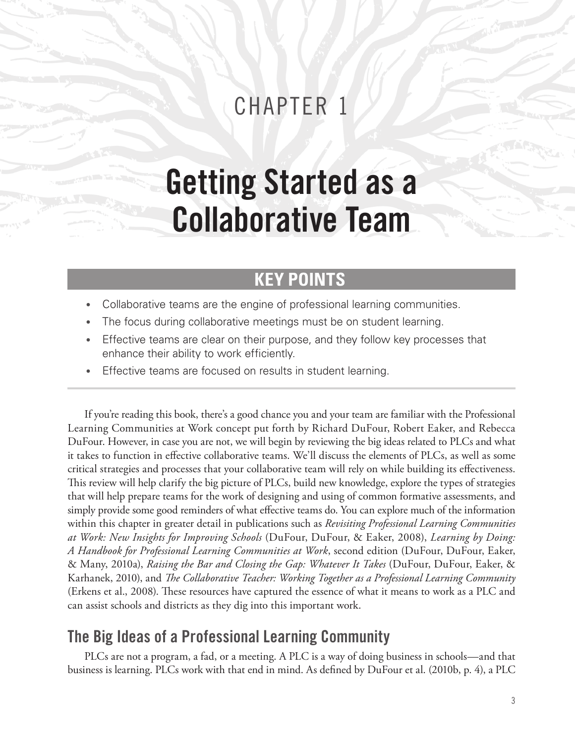## CHAPTER 1

# Getting Started as a Collaborative Team

## **KEY POINTS**

- Collaborative teams are the engine of professional learning communities.
- The focus during collaborative meetings must be on student learning.
- Effective teams are clear on their purpose, and they follow key processes that enhance their ability to work efficiently.
- Effective teams are focused on results in student learning.

If you're reading this book, there's a good chance you and your team are familiar with the Professional Learning Communities at Work concept put forth by Richard DuFour, Robert Eaker, and Rebecca DuFour. However, in case you are not, we will begin by reviewing the big ideas related to PLCs and what it takes to function in effective collaborative teams. We'll discuss the elements of PLCs, as well as some critical strategies and processes that your collaborative team will rely on while building its effectiveness. This review will help clarify the big picture of PLCs, build new knowledge, explore the types of strategies that will help prepare teams for the work of designing and using of common formative assessments, and simply provide some good reminders of what effective teams do. You can explore much of the information within this chapter in greater detail in publications such as *Revisiting Professional Learning Communities at Work: New Insights for Improving Schools* (DuFour, DuFour, & Eaker, 2008), *Learning by Doing: A Handbook for Professional Learning Communities at Work*, second edition (DuFour, DuFour, Eaker, & Many, 2010a), *Raising the Bar and Closing the Gap: Whatever It Takes* (DuFour, DuFour, Eaker, & Karhanek, 2010), and *The Collaborative Teacher: Working Together as a Professional Learning Community*  (Erkens et al., 2008). These resources have captured the essence of what it means to work as a PLC and can assist schools and districts as they dig into this important work.

### The Big Ideas of a Professional Learning Community

PLCs are not a program, a fad, or a meeting. A PLC is a way of doing business in schools—and that business is learning. PLCs work with that end in mind. As defined by DuFour et al. (2010b, p. 4), a PLC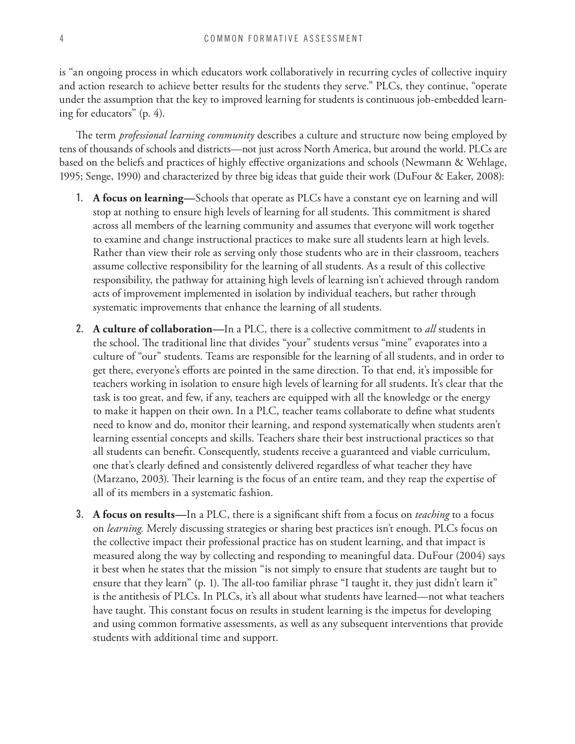is "an ongoing process in which educators work collaboratively in recurring cycles of collective inquiry and action research to achieve better results for the students they serve." PLCs, they continue, "operate under the assumption that the key to improved learning for students is continuous job-embedded learning for educators" (p. 4).

The term *professional learning community* describes a culture and structure now being employed by tens of thousands of schools and districts—not just across North America, but around the world. PLCs are based on the beliefs and practices of highly effective organizations and schools (Newmann & Wehlage, 1995; Senge, 1990) and characterized by three big ideas that guide their work (DuFour & Eaker, 2008):

- 1. **A focus on learning—**Schools that operate as PLCs have a constant eye on learning and will stop at nothing to ensure high levels of learning for all students. This commitment is shared across all members of the learning community and assumes that everyone will work together to examine and change instructional practices to make sure all students learn at high levels. Rather than view their role as serving only those students who are in their classroom, teachers assume collective responsibility for the learning of all students. As a result of this collective responsibility, the pathway for attaining high levels of learning isn't achieved through random acts of improvement implemented in isolation by individual teachers, but rather through systematic improvements that enhance the learning of all students.
- 2. **A culture of collaboration—**In a PLC, there is a collective commitment to *all* students in the school. The traditional line that divides "your" students versus "mine" evaporates into a culture of "our" students. Teams are responsible for the learning of all students, and in order to get there, everyone's efforts are pointed in the same direction. To that end, it's impossible for teachers working in isolation to ensure high levels of learning for all students. It's clear that the task is too great, and few, if any, teachers are equipped with all the knowledge or the energy to make it happen on their own. In a PLC, teacher teams collaborate to define what students need to know and do, monitor their learning, and respond systematically when students aren't learning essential concepts and skills. Teachers share their best instructional practices so that all students can benefit. Consequently, students receive a guaranteed and viable curriculum, one that's clearly defined and consistently delivered regardless of what teacher they have (Marzano, 2003). Their learning is the focus of an entire team, and they reap the expertise of all of its members in a systematic fashion.
- 3. **A focus on results—**In a PLC, there is a significant shift from a focus on *teaching* to a focus on *learning.* Merely discussing strategies or sharing best practices isn't enough. PLCs focus on the collective impact their professional practice has on student learning, and that impact is measured along the way by collecting and responding to meaningful data. DuFour (2004) says it best when he states that the mission "is not simply to ensure that students are taught but to ensure that they learn" (p. 1). The all-too familiar phrase "I taught it, they just didn't learn it" is the antithesis of PLCs. In PLCs, it's all about what students have learned—not what teachers have taught. This constant focus on results in student learning is the impetus for developing and using common formative assessments, as well as any subsequent interventions that provide students with additional time and support.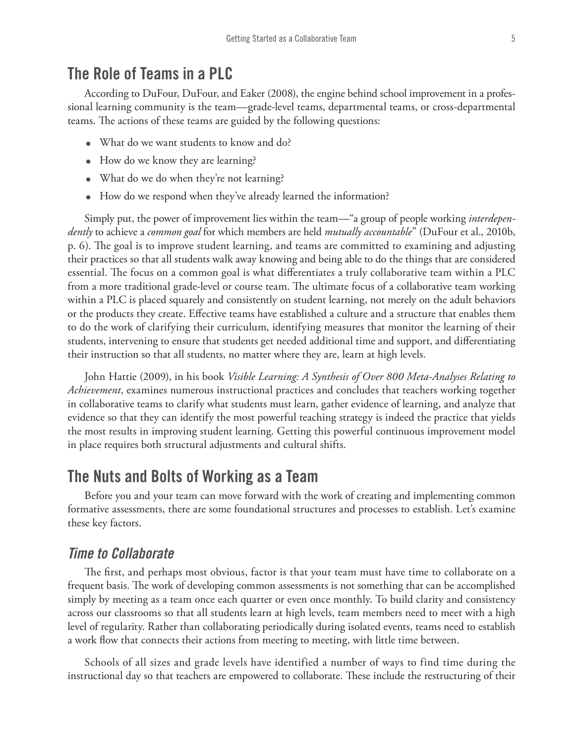#### The Role of Teams in a PLC

According to DuFour, DuFour, and Eaker (2008), the engine behind school improvement in a professional learning community is the team—grade-level teams, departmental teams, or cross-departmental teams. The actions of these teams are guided by the following questions:

- What do we want students to know and do?
- How do we know they are learning?
- What do we do when they're not learning?
- How do we respond when they've already learned the information?

Simply put, the power of improvement lies within the team—"a group of people working *interdependently* to achieve a *common goal* for which members are held *mutually accountable*" (DuFour et al., 2010b, p. 6). The goal is to improve student learning, and teams are committed to examining and adjusting their practices so that all students walk away knowing and being able to do the things that are considered essential. The focus on a common goal is what differentiates a truly collaborative team within a PLC from a more traditional grade-level or course team. The ultimate focus of a collaborative team working within a PLC is placed squarely and consistently on student learning, not merely on the adult behaviors or the products they create. Effective teams have established a culture and a structure that enables them to do the work of clarifying their curriculum, identifying measures that monitor the learning of their students, intervening to ensure that students get needed additional time and support, and differentiating their instruction so that all students, no matter where they are, learn at high levels.

John Hattie (2009), in his book *Visible Learning: A Synthesis of Over 800 Meta-Analyses Relating to Achievement*, examines numerous instructional practices and concludes that teachers working together in collaborative teams to clarify what students must learn, gather evidence of learning, and analyze that evidence so that they can identify the most powerful teaching strategy is indeed the practice that yields the most results in improving student learning. Getting this powerful continuous improvement model in place requires both structural adjustments and cultural shifts.

#### The Nuts and Bolts of Working as a Team

Before you and your team can move forward with the work of creating and implementing common formative assessments, there are some foundational structures and processes to establish. Let's examine these key factors.

#### *Time to Collaborate*

The first, and perhaps most obvious, factor is that your team must have time to collaborate on a frequent basis. The work of developing common assessments is not something that can be accomplished simply by meeting as a team once each quarter or even once monthly. To build clarity and consistency across our classrooms so that all students learn at high levels, team members need to meet with a high level of regularity. Rather than collaborating periodically during isolated events, teams need to establish a work flow that connects their actions from meeting to meeting, with little time between.

Schools of all sizes and grade levels have identified a number of ways to find time during the instructional day so that teachers are empowered to collaborate. These include the restructuring of their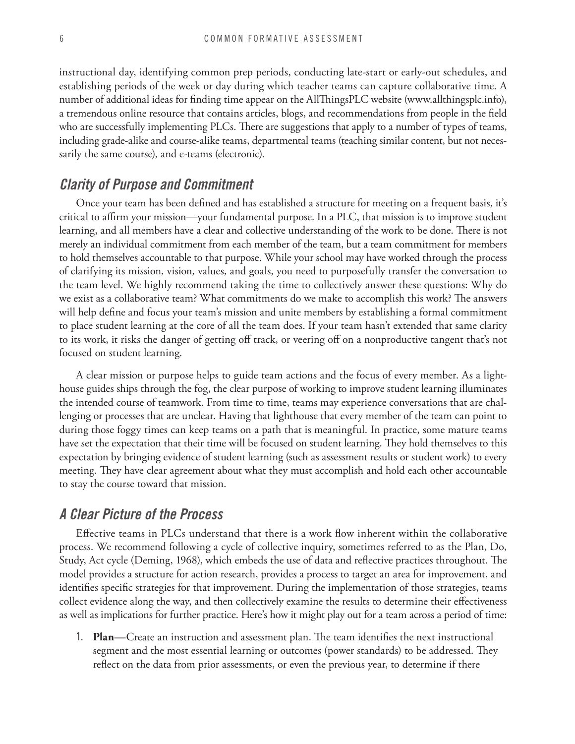instructional day, identifying common prep periods, conducting late-start or early-out schedules, and establishing periods of the week or day during which teacher teams can capture collaborative time. A number of additional ideas for finding time appear on the AllThingsPLC website (www.allthingsplc.info), a tremendous online resource that contains articles, blogs, and recommendations from people in the field who are successfully implementing PLCs. There are suggestions that apply to a number of types of teams, including grade-alike and course-alike teams, departmental teams (teaching similar content, but not necessarily the same course), and e-teams (electronic).

#### *Clarity of Purpose and Commitment*

Once your team has been defined and has established a structure for meeting on a frequent basis, it's critical to affirm your mission—your fundamental purpose. In a PLC, that mission is to improve student learning, and all members have a clear and collective understanding of the work to be done. There is not merely an individual commitment from each member of the team, but a team commitment for members to hold themselves accountable to that purpose. While your school may have worked through the process of clarifying its mission, vision, values, and goals, you need to purposefully transfer the conversation to the team level. We highly recommend taking the time to collectively answer these questions: Why do we exist as a collaborative team? What commitments do we make to accomplish this work? The answers will help define and focus your team's mission and unite members by establishing a formal commitment to place student learning at the core of all the team does. If your team hasn't extended that same clarity to its work, it risks the danger of getting off track, or veering off on a nonproductive tangent that's not focused on student learning.

A clear mission or purpose helps to guide team actions and the focus of every member. As a lighthouse guides ships through the fog, the clear purpose of working to improve student learning illuminates the intended course of teamwork. From time to time, teams may experience conversations that are challenging or processes that are unclear. Having that lighthouse that every member of the team can point to during those foggy times can keep teams on a path that is meaningful. In practice, some mature teams have set the expectation that their time will be focused on student learning. They hold themselves to this expectation by bringing evidence of student learning (such as assessment results or student work) to every meeting. They have clear agreement about what they must accomplish and hold each other accountable to stay the course toward that mission.

#### *A Clear Picture of the Process*

Effective teams in PLCs understand that there is a work flow inherent within the collaborative process. We recommend following a cycle of collective inquiry, sometimes referred to as the Plan, Do, Study, Act cycle (Deming, 1968), which embeds the use of data and reflective practices throughout. The model provides a structure for action research, provides a process to target an area for improvement, and identifies specific strategies for that improvement. During the implementation of those strategies, teams collect evidence along the way, and then collectively examine the results to determine their effectiveness as well as implications for further practice. Here's how it might play out for a team across a period of time:

1. **Plan—**Create an instruction and assessment plan. The team identifies the next instructional segment and the most essential learning or outcomes (power standards) to be addressed. They reflect on the data from prior assessments, or even the previous year, to determine if there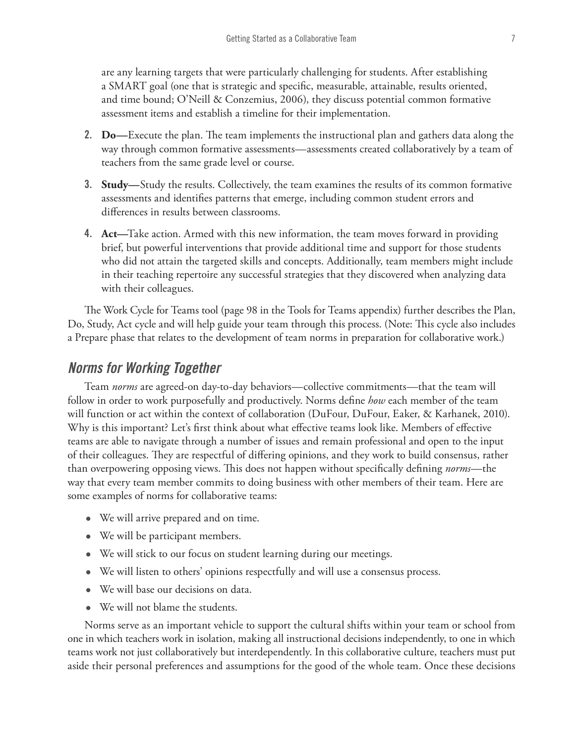are any learning targets that were particularly challenging for students. After establishing a SMART goal (one that is strategic and specific, measurable, attainable, results oriented, and time bound; O'Neill & Conzemius, 2006), they discuss potential common formative assessment items and establish a timeline for their implementation.

- 2. **Do—**Execute the plan. The team implements the instructional plan and gathers data along the way through common formative assessments—assessments created collaboratively by a team of teachers from the same grade level or course.
- 3. **Study—**Study the results. Collectively, the team examines the results of its common formative assessments and identifies patterns that emerge, including common student errors and differences in results between classrooms.
- 4. **Act—**Take action. Armed with this new information, the team moves forward in providing brief, but powerful interventions that provide additional time and support for those students who did not attain the targeted skills and concepts. Additionally, team members might include in their teaching repertoire any successful strategies that they discovered when analyzing data with their colleagues.

The Work Cycle for Teams tool (page 98 in the Tools for Teams appendix) further describes the Plan, Do, Study, Act cycle and will help guide your team through this process. (Note: This cycle also includes a Prepare phase that relates to the development of team norms in preparation for collaborative work.)

#### *Norms for Working Together*

Team *norms* are agreed-on day-to-day behaviors—collective commitments—that the team will follow in order to work purposefully and productively. Norms define *how* each member of the team will function or act within the context of collaboration (DuFour, DuFour, Eaker, & Karhanek, 2010). Why is this important? Let's first think about what effective teams look like. Members of effective teams are able to navigate through a number of issues and remain professional and open to the input of their colleagues. They are respectful of differing opinions, and they work to build consensus, rather than overpowering opposing views. This does not happen without specifically defining *norms*—the way that every team member commits to doing business with other members of their team. Here are some examples of norms for collaborative teams:

- We will arrive prepared and on time.
- We will be participant members.
- We will stick to our focus on student learning during our meetings.
- We will listen to others' opinions respectfully and will use a consensus process.
- • We will base our decisions on data.
- We will not blame the students.

Norms serve as an important vehicle to support the cultural shifts within your team or school from one in which teachers work in isolation, making all instructional decisions independently, to one in which teams work not just collaboratively but interdependently. In this collaborative culture, teachers must put aside their personal preferences and assumptions for the good of the whole team. Once these decisions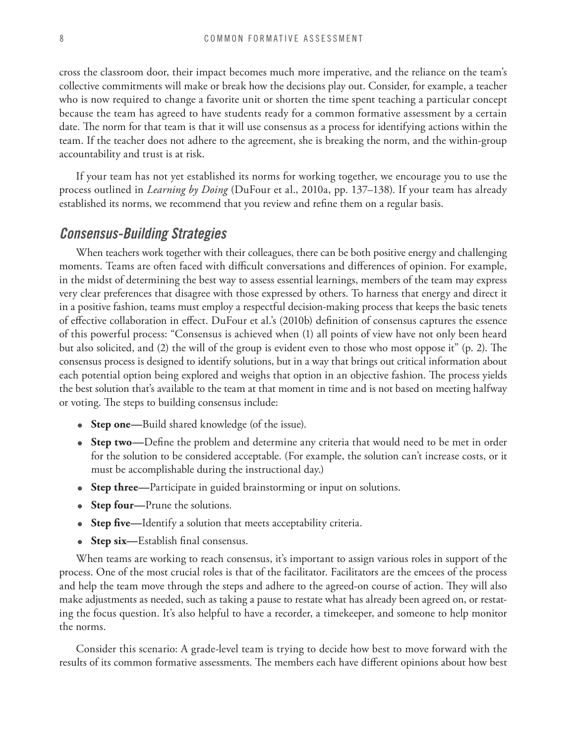cross the classroom door, their impact becomes much more imperative, and the reliance on the team's collective commitments will make or break how the decisions play out. Consider, for example, a teacher who is now required to change a favorite unit or shorten the time spent teaching a particular concept because the team has agreed to have students ready for a common formative assessment by a certain date. The norm for that team is that it will use consensus as a process for identifying actions within the team. If the teacher does not adhere to the agreement, she is breaking the norm, and the within-group accountability and trust is at risk.

If your team has not yet established its norms for working together, we encourage you to use the process outlined in *Learning by Doing* (DuFour et al., 2010a, pp. 137–138). If your team has already established its norms, we recommend that you review and refine them on a regular basis.

#### *Consensus-Building Strategies*

When teachers work together with their colleagues, there can be both positive energy and challenging moments. Teams are often faced with difficult conversations and differences of opinion. For example, in the midst of determining the best way to assess essential learnings, members of the team may express very clear preferences that disagree with those expressed by others. To harness that energy and direct it in a positive fashion, teams must employ a respectful decision-making process that keeps the basic tenets of effective collaboration in effect. DuFour et al.'s (2010b) definition of consensus captures the essence of this powerful process: "Consensus is achieved when (1) all points of view have not only been heard but also solicited, and (2) the will of the group is evident even to those who most oppose it" (p. 2). The consensus process is designed to identify solutions, but in a way that brings out critical information about each potential option being explored and weighs that option in an objective fashion. The process yields the best solution that's available to the team at that moment in time and is not based on meeting halfway or voting. The steps to building consensus include:

- **Step one—**Build shared knowledge (of the issue).
- • **Step two—**Define the problem and determine any criteria that would need to be met in order for the solution to be considered acceptable. (For example, the solution can't increase costs, or it must be accomplishable during the instructional day.)
- **Step three—**Participate in guided brainstorming or input on solutions.
- **Step four—**Prune the solutions.
- **Step five—**Identify a solution that meets acceptability criteria.
- **Step six—**Establish final consensus.

When teams are working to reach consensus, it's important to assign various roles in support of the process. One of the most crucial roles is that of the facilitator. Facilitators are the emcees of the process and help the team move through the steps and adhere to the agreed-on course of action. They will also make adjustments as needed, such as taking a pause to restate what has already been agreed on, or restating the focus question. It's also helpful to have a recorder, a timekeeper, and someone to help monitor the norms.

Consider this scenario: A grade-level team is trying to decide how best to move forward with the results of its common formative assessments. The members each have different opinions about how best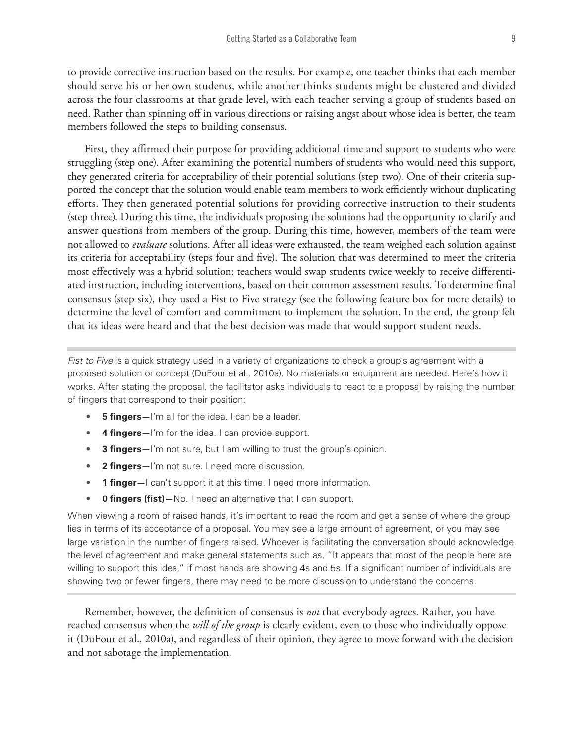to provide corrective instruction based on the results. For example, one teacher thinks that each member should serve his or her own students, while another thinks students might be clustered and divided across the four classrooms at that grade level, with each teacher serving a group of students based on need. Rather than spinning off in various directions or raising angst about whose idea is better, the team members followed the steps to building consensus.

First, they affirmed their purpose for providing additional time and support to students who were struggling (step one). After examining the potential numbers of students who would need this support, they generated criteria for acceptability of their potential solutions (step two). One of their criteria supported the concept that the solution would enable team members to work efficiently without duplicating efforts. They then generated potential solutions for providing corrective instruction to their students (step three). During this time, the individuals proposing the solutions had the opportunity to clarify and answer questions from members of the group. During this time, however, members of the team were not allowed to *evaluate* solutions. After all ideas were exhausted, the team weighed each solution against its criteria for acceptability (steps four and five). The solution that was determined to meet the criteria most effectively was a hybrid solution: teachers would swap students twice weekly to receive differentiated instruction, including interventions, based on their common assessment results. To determine final consensus (step six), they used a Fist to Five strategy (see the following feature box for more details) to determine the level of comfort and commitment to implement the solution. In the end, the group felt that its ideas were heard and that the best decision was made that would support student needs.

*Fist to Five* is a quick strategy used in a variety of organizations to check a group's agreement with a proposed solution or concept (DuFour et al., 2010a). No materials or equipment are needed. Here's how it works. After stating the proposal, the facilitator asks individuals to react to a proposal by raising the number of fingers that correspond to their position:

- **5 fingers**—I'm all for the idea. I can be a leader.
- **4 fingers—**I'm for the idea. I can provide support.
- **3 fingers—**I'm not sure, but I am willing to trust the group's opinion.
- **2 fingers—**I'm not sure. I need more discussion.
- **1 finger—**I can't support it at this time. I need more information.
- **0 fingers (fist)—**No. I need an alternative that I can support.

When viewing a room of raised hands, it's important to read the room and get a sense of where the group lies in terms of its acceptance of a proposal. You may see a large amount of agreement, or you may see large variation in the number of fingers raised. Whoever is facilitating the conversation should acknowledge the level of agreement and make general statements such as, "It appears that most of the people here are willing to support this idea," if most hands are showing 4s and 5s. If a significant number of individuals are showing two or fewer fingers, there may need to be more discussion to understand the concerns.

Remember, however, the definition of consensus is *not* that everybody agrees. Rather, you have reached consensus when the *will of the group* is clearly evident, even to those who individually oppose it (DuFour et al., 2010a), and regardless of their opinion, they agree to move forward with the decision and not sabotage the implementation.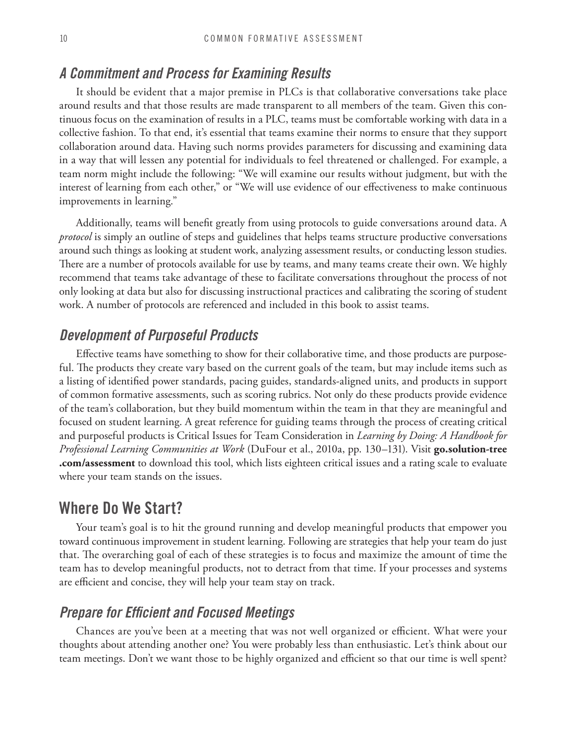#### *A Commitment and Process for Examining Results*

It should be evident that a major premise in PLCs is that collaborative conversations take place around results and that those results are made transparent to all members of the team. Given this continuous focus on the examination of results in a PLC, teams must be comfortable working with data in a collective fashion. To that end, it's essential that teams examine their norms to ensure that they support collaboration around data. Having such norms provides parameters for discussing and examining data in a way that will lessen any potential for individuals to feel threatened or challenged. For example, a team norm might include the following: "We will examine our results without judgment, but with the interest of learning from each other," or "We will use evidence of our effectiveness to make continuous improvements in learning."

Additionally, teams will benefit greatly from using protocols to guide conversations around data. A *protocol* is simply an outline of steps and guidelines that helps teams structure productive conversations around such things as looking at student work, analyzing assessment results, or conducting lesson studies. There are a number of protocols available for use by teams, and many teams create their own. We highly recommend that teams take advantage of these to facilitate conversations throughout the process of not only looking at data but also for discussing instructional practices and calibrating the scoring of student work. A number of protocols are referenced and included in this book to assist teams.

#### *Development of Purposeful Products*

Effective teams have something to show for their collaborative time, and those products are purposeful. The products they create vary based on the current goals of the team, but may include items such as a listing of identified power standards, pacing guides, standards-aligned units, and products in support of common formative assessments, such as scoring rubrics. Not only do these products provide evidence of the team's collaboration, but they build momentum within the team in that they are meaningful and focused on student learning. A great reference for guiding teams through the process of creating critical and purposeful products is Critical Issues for Team Consideration in *Learning by Doing: A Handbook for Professional Learning Communities at Work* (DuFour et al., 2010a, pp. 130–131). Visit **go.solution-tree .com/assessment** to download this tool, which lists eighteen critical issues and a rating scale to evaluate where your team stands on the issues.

#### Where Do We Start?

Your team's goal is to hit the ground running and develop meaningful products that empower you toward continuous improvement in student learning. Following are strategies that help your team do just that. The overarching goal of each of these strategies is to focus and maximize the amount of time the team has to develop meaningful products, not to detract from that time. If your processes and systems are efficient and concise, they will help your team stay on track.

#### *Prepare for Efficient and Focused Meetings*

Chances are you've been at a meeting that was not well organized or efficient. What were your thoughts about attending another one? You were probably less than enthusiastic. Let's think about our team meetings. Don't we want those to be highly organized and efficient so that our time is well spent?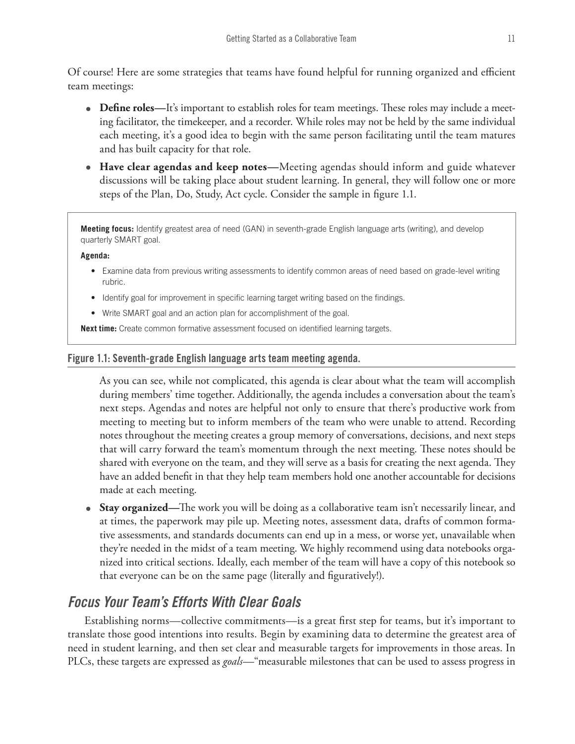Of course! Here are some strategies that teams have found helpful for running organized and efficient team meetings:

- **Define roles—**It's important to establish roles for team meetings. These roles may include a meeting facilitator, the timekeeper, and a recorder. While roles may not be held by the same individual each meeting, it's a good idea to begin with the same person facilitating until the team matures and has built capacity for that role.
- • **Have clear agendas and keep notes—**Meeting agendas should inform and guide whatever discussions will be taking place about student learning. In general, they will follow one or more steps of the Plan, Do, Study, Act cycle. Consider the sample in figure 1.1.

**Meeting focus:** Identify greatest area of need (GAN) in seventh-grade English language arts (writing), and develop quarterly SMART goal.

#### **Agenda:**

- • Examine data from previous writing assessments to identify common areas of need based on grade-level writing rubric.
- Identify goal for improvement in specific learning target writing based on the findings.
- Write SMART goal and an action plan for accomplishment of the goal.

**Next time:** Create common formative assessment focused on identified learning targets.

#### Figure 1.1: Seventh-grade English language arts team meeting agenda.

As you can see, while not complicated, this agenda is clear about what the team will accomplish during members' time together. Additionally, the agenda includes a conversation about the team's next steps. Agendas and notes are helpful not only to ensure that there's productive work from meeting to meeting but to inform members of the team who were unable to attend. Recording notes throughout the meeting creates a group memory of conversations, decisions, and next steps that will carry forward the team's momentum through the next meeting. These notes should be shared with everyone on the team, and they will serve as a basis for creating the next agenda. They have an added benefit in that they help team members hold one another accountable for decisions made at each meeting.

• **Stay organized—**The work you will be doing as a collaborative team isn't necessarily linear, and at times, the paperwork may pile up. Meeting notes, assessment data, drafts of common formative assessments, and standards documents can end up in a mess, or worse yet, unavailable when they're needed in the midst of a team meeting. We highly recommend using data notebooks organized into critical sections. Ideally, each member of the team will have a copy of this notebook so that everyone can be on the same page (literally and figuratively!).

#### *Focus Your Team's Efforts With Clear Goals*

Establishing norms—collective commitments—is a great first step for teams, but it's important to translate those good intentions into results. Begin by examining data to determine the greatest area of need in student learning, and then set clear and measurable targets for improvements in those areas. In PLCs, these targets are expressed as *goals*—"measurable milestones that can be used to assess progress in